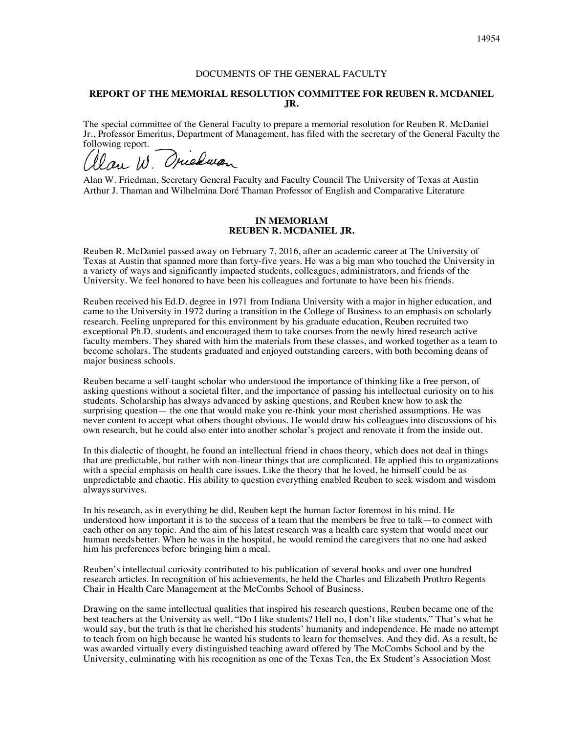## DOCUMENTS OF THE GENERAL FACULTY

## **REPORT OF THE MEMORIAL RESOLUTION COMMITTEE FOR REUBEN R. MCDANIEL JR.**

The special committee of the General Faculty to prepare a memorial resolution for Reuben R. McDaniel Jr., Professor Emeritus, Department of Management, has filed with the secretary of the General Faculty the following report.

Queluca.

Alan W. Friedman, Secretary General Faculty and Faculty Council The University of Texas at Austin Arthur J. Thaman and Wilhelmina Doré Thaman Professor of English and Comparative Literature

## **IN MEMORIAM REUBEN R. MCDANIEL JR.**

Reuben R. McDaniel passed away on February 7, 2016, after an academic career at The University of Texas at Austin that spanned more than forty-five years. He was a big man who touched the University in a variety of ways and significantly impacted students, colleagues, administrators, and friends of the University. We feel honored to have been his colleagues and fortunate to have been his friends.

Reuben received his Ed.D. degree in 1971 from Indiana University with a major in higher education, and came to the University in 1972 during a transition in the College of Business to an emphasis on scholarly research. Feeling unprepared for this environment by his graduate education, Reuben recruited two exceptional Ph.D. students and encouraged them to take courses from the newly hired research active faculty members. They shared with him the materials from these classes, and worked together as a team to become scholars. The students graduated and enjoyed outstanding careers, with both becoming deans of major business schools.

Reuben became a self-taught scholar who understood the importance of thinking like a free person, of asking questions without a societal filter, and the importance of passing his intellectual curiosity on to his students. Scholarship has always advanced by asking questions, and Reuben knew how to ask the surprising question— the one that would make you re-think your most cherished assumptions. He was never content to accept what others thought obvious. He would draw his colleagues into discussions of his own research, but he could also enter into another scholar's project and renovate it from the inside out.

In this dialectic of thought, he found an intellectual friend in chaos theory, which does not deal in things that are predictable, but rather with non-linear things that are complicated. He applied this to organizations with a special emphasis on health care issues. Like the theory that he loved, he himself could be as unpredictable and chaotic. His ability to question everything enabled Reuben to seek wisdom and wisdom alwayssurvives.

In his research, as in everything he did, Reuben kept the human factor foremost in his mind. He understood how important it is to the success of a team that the members be free to talk—to connect with each other on any topic. And the aim of his latest research was a health care system that would meet our human needsbetter. When he was in the hospital, he would remind the caregivers that no one had asked him his preferences before bringing him a meal.

Reuben's intellectual curiosity contributed to his publication of several books and over one hundred research articles. In recognition of his achievements, he held the Charles and Elizabeth Prothro Regents Chair in Health Care Management at the McCombs School of Business.

Drawing on the same intellectual qualities that inspired his research questions, Reuben became one of the best teachers at the University as well. "Do I like students? Hell no, I don't like students." That's what he would say, but the truth is that he cherished his students' humanity and independence. He made no attempt to teach from on high because he wanted his students to learn for themselves. And they did. As a result, he was awarded virtually every distinguished teaching award offered by The McCombs School and by the University, culminating with his recognition as one of the Texas Ten, the Ex Student's Association Most